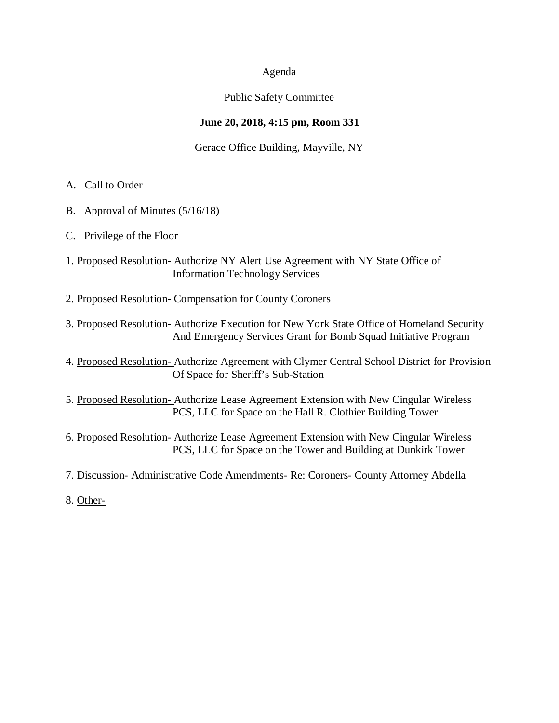# Agenda

# Public Safety Committee

# **June 20, 2018, 4:15 pm, Room 331**

# Gerace Office Building, Mayville, NY

- A. Call to Order
- B. Approval of Minutes (5/16/18)
- C. Privilege of the Floor
- 1. Proposed Resolution- Authorize NY Alert Use Agreement with NY State Office of Information Technology Services
- 2. Proposed Resolution- Compensation for County Coroners
- 3. Proposed Resolution- Authorize Execution for New York State Office of Homeland Security And Emergency Services Grant for Bomb Squad Initiative Program
- 4. Proposed Resolution- Authorize Agreement with Clymer Central School District for Provision Of Space for Sheriff's Sub-Station
- 5. Proposed Resolution- Authorize Lease Agreement Extension with New Cingular Wireless PCS, LLC for Space on the Hall R. Clothier Building Tower
- 6. Proposed Resolution- Authorize Lease Agreement Extension with New Cingular Wireless PCS, LLC for Space on the Tower and Building at Dunkirk Tower
- 7. Discussion- Administrative Code Amendments- Re: Coroners- County Attorney Abdella
- 8. Other-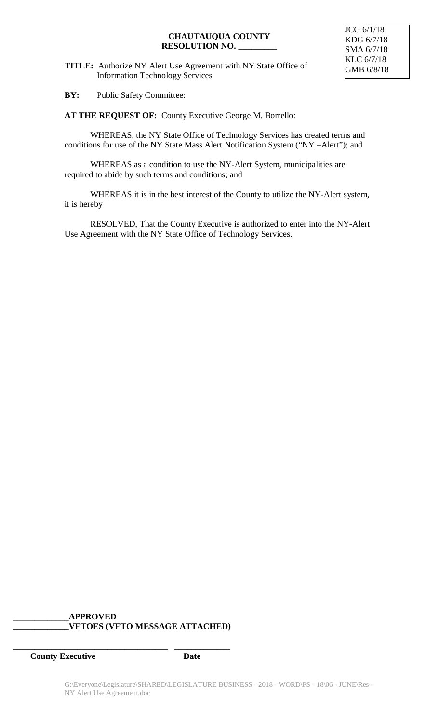**TITLE:** Authorize NY Alert Use Agreement with NY State Office of Information Technology Services

**BY:** Public Safety Committee:

**AT THE REQUEST OF:** County Executive George M. Borrello:

WHEREAS, the NY State Office of Technology Services has created terms and conditions for use of the NY State Mass Alert Notification System ("NY –Alert"); and

WHEREAS as a condition to use the NY-Alert System, municipalities are required to abide by such terms and conditions; and

WHEREAS it is in the best interest of the County to utilize the NY-Alert system, it is hereby

RESOLVED, That the County Executive is authorized to enter into the NY-Alert Use Agreement with the NY State Office of Technology Services.

# **\_\_\_\_\_\_\_\_\_\_\_\_\_APPROVED \_\_\_\_\_\_\_\_\_\_\_\_\_VETOES (VETO MESSAGE ATTACHED)**

**\_\_\_\_\_\_\_\_\_\_\_\_\_\_\_\_\_\_\_\_\_\_\_\_\_\_\_\_\_\_\_\_\_\_\_\_ \_\_\_\_\_\_\_\_\_\_\_\_\_**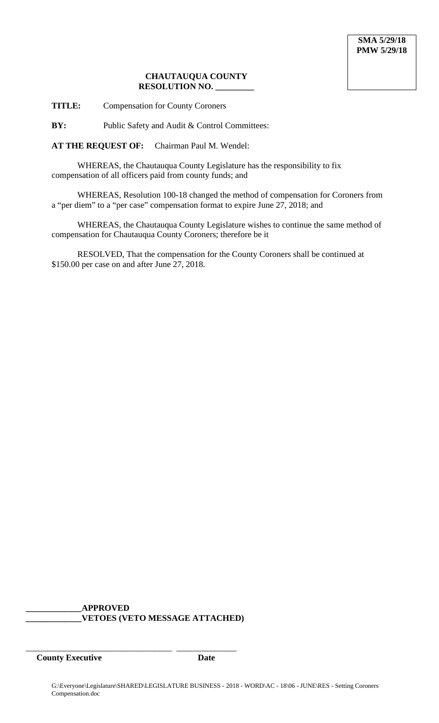**TITLE:** Compensation for County Coroners

**BY:** Public Safety and Audit & Control Committees:

**AT THE REQUEST OF:** Chairman Paul M. Wendel:

WHEREAS, the Chautauqua County Legislature has the responsibility to fix compensation of all officers paid from county funds; and

WHEREAS, Resolution 100-18 changed the method of compensation for Coroners from a "per diem" to a "per case" compensation format to expire June 27, 2018; and

WHEREAS, the Chautauqua County Legislature wishes to continue the same method of compensation for Chautauqua County Coroners; therefore be it

RESOLVED, That the compensation for the County Coroners shall be continued at \$150.00 per case on and after June 27, 2018.

**\_\_\_\_\_\_\_\_\_\_\_\_\_APPROVED \_\_\_\_\_\_\_\_\_\_\_\_\_VETOES (VETO MESSAGE ATTACHED)**

\_\_\_\_\_\_\_\_\_\_\_\_\_\_\_\_\_\_\_\_\_\_\_\_\_\_\_\_\_\_\_\_\_\_ \_\_\_\_\_\_\_\_\_\_\_\_\_\_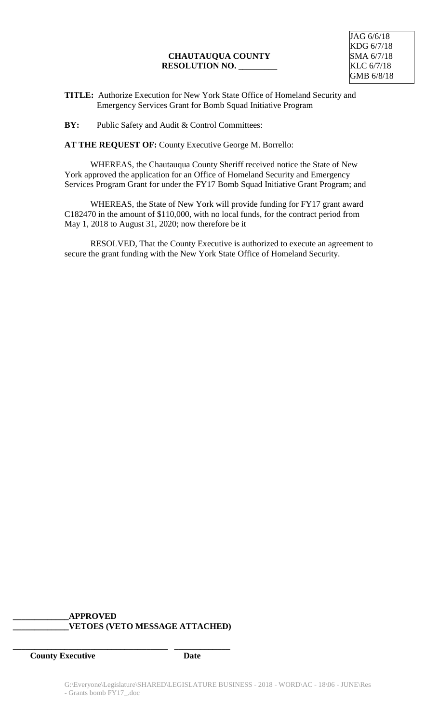**TITLE:** Authorize Execution for New York State Office of Homeland Security and Emergency Services Grant for Bomb Squad Initiative Program

**BY:** Public Safety and Audit & Control Committees:

**AT THE REQUEST OF:** County Executive George M. Borrello:

WHEREAS, the Chautauqua County Sheriff received notice the State of New York approved the application for an Office of Homeland Security and Emergency Services Program Grant for under the FY17 Bomb Squad Initiative Grant Program; and

WHEREAS, the State of New York will provide funding for FY17 grant award C182470 in the amount of \$110,000, with no local funds, for the contract period from May 1, 2018 to August 31, 2020; now therefore be it

RESOLVED, That the County Executive is authorized to execute an agreement to secure the grant funding with the New York State Office of Homeland Security.

# **\_\_\_\_\_\_\_\_\_\_\_\_\_APPROVED \_\_\_\_\_\_\_\_\_\_\_\_\_VETOES (VETO MESSAGE ATTACHED)**

**\_\_\_\_\_\_\_\_\_\_\_\_\_\_\_\_\_\_\_\_\_\_\_\_\_\_\_\_\_\_\_\_\_\_\_\_ \_\_\_\_\_\_\_\_\_\_\_\_\_**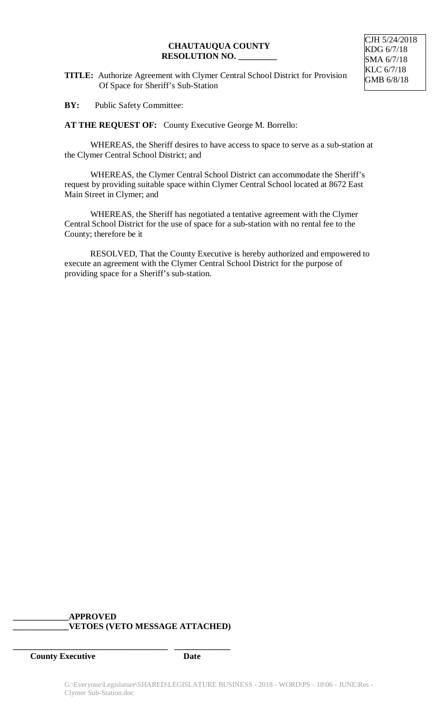**TITLE:** Authorize Agreement with Clymer Central School District for Provision Of Space for Sheriff's Sub-Station

**BY:** Public Safety Committee:

**AT THE REQUEST OF:** County Executive George M. Borrello:

WHEREAS, the Sheriff desires to have access to space to serve as a sub-station at the Clymer Central School District; and

WHEREAS, the Clymer Central School District can accommodate the Sheriff's request by providing suitable space within Clymer Central School located at 8672 East Main Street in Clymer; and

WHEREAS, the Sheriff has negotiated a tentative agreement with the Clymer Central School District for the use of space for a sub-station with no rental fee to the County; therefore be it

RESOLVED, That the County Executive is hereby authorized and empowered to execute an agreement with the Clymer Central School District for the purpose of providing space for a Sheriff's sub-station.

# **\_\_\_\_\_\_\_\_\_\_\_\_\_APPROVED \_\_\_\_\_\_\_\_\_\_\_\_\_VETOES (VETO MESSAGE ATTACHED)**

**\_\_\_\_\_\_\_\_\_\_\_\_\_\_\_\_\_\_\_\_\_\_\_\_\_\_\_\_\_\_\_\_\_\_\_\_ \_\_\_\_\_\_\_\_\_\_\_\_\_**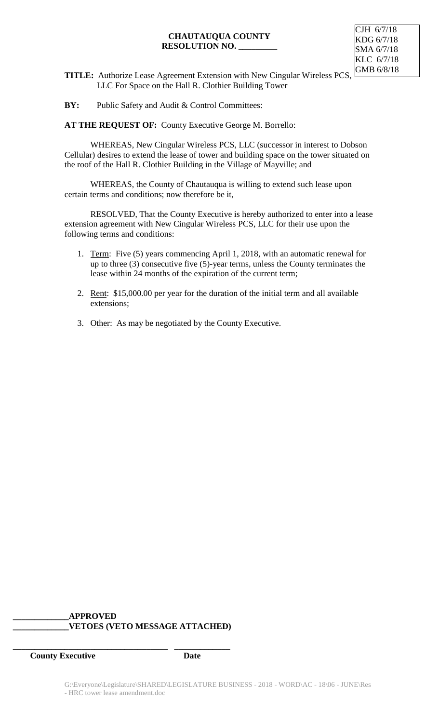

- **TITLE:** Authorize Lease Agreement Extension with New Cingular Wireless PCS, LLC For Space on the Hall R. Clothier Building Tower
- **BY:** Public Safety and Audit & Control Committees:

**AT THE REQUEST OF:** County Executive George M. Borrello:

WHEREAS, New Cingular Wireless PCS, LLC (successor in interest to Dobson Cellular) desires to extend the lease of tower and building space on the tower situated on the roof of the Hall R. Clothier Building in the Village of Mayville; and

WHEREAS, the County of Chautauqua is willing to extend such lease upon certain terms and conditions; now therefore be it,

RESOLVED, That the County Executive is hereby authorized to enter into a lease extension agreement with New Cingular Wireless PCS, LLC for their use upon the following terms and conditions:

- 1. Term: Five (5) years commencing April 1, 2018, with an automatic renewal for up to three (3) consecutive five (5)-year terms, unless the County terminates the lease within 24 months of the expiration of the current term;
- 2. Rent: \$15,000.00 per year for the duration of the initial term and all available extensions;
- 3. Other: As may be negotiated by the County Executive.

# **\_\_\_\_\_\_\_\_\_\_\_\_\_APPROVED \_\_\_\_\_\_\_\_\_\_\_\_\_VETOES (VETO MESSAGE ATTACHED)**

**\_\_\_\_\_\_\_\_\_\_\_\_\_\_\_\_\_\_\_\_\_\_\_\_\_\_\_\_\_\_\_\_\_\_\_\_ \_\_\_\_\_\_\_\_\_\_\_\_\_**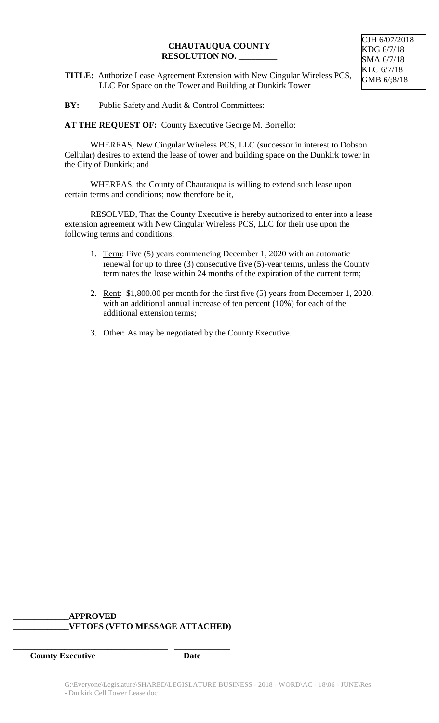- **TITLE:** Authorize Lease Agreement Extension with New Cingular Wireless PCS, LLC For Space on the Tower and Building at Dunkirk Tower
- **BY:** Public Safety and Audit & Control Committees:

**AT THE REQUEST OF:** County Executive George M. Borrello:

WHEREAS, New Cingular Wireless PCS, LLC (successor in interest to Dobson Cellular) desires to extend the lease of tower and building space on the Dunkirk tower in the City of Dunkirk; and

WHEREAS, the County of Chautauqua is willing to extend such lease upon certain terms and conditions; now therefore be it,

RESOLVED, That the County Executive is hereby authorized to enter into a lease extension agreement with New Cingular Wireless PCS, LLC for their use upon the following terms and conditions:

- 1. Term: Five (5) years commencing December 1, 2020 with an automatic renewal for up to three (3) consecutive five (5)-year terms, unless the County terminates the lease within 24 months of the expiration of the current term;
- 2. Rent: \$1,800.00 per month for the first five (5) years from December 1, 2020, with an additional annual increase of ten percent (10%) for each of the additional extension terms;
- 3. Other: As may be negotiated by the County Executive.

# **\_\_\_\_\_\_\_\_\_\_\_\_\_APPROVED**

# **\_\_\_\_\_\_\_\_\_\_\_\_\_VETOES (VETO MESSAGE ATTACHED)**

**\_\_\_\_\_\_\_\_\_\_\_\_\_\_\_\_\_\_\_\_\_\_\_\_\_\_\_\_\_\_\_\_\_\_\_\_ \_\_\_\_\_\_\_\_\_\_\_\_\_**

**County Executive Date** 

CJH 6/07/2018 KDG 6/7/18 SMA 6/7/18 KLC 6/7/18 GMB 6/;8/18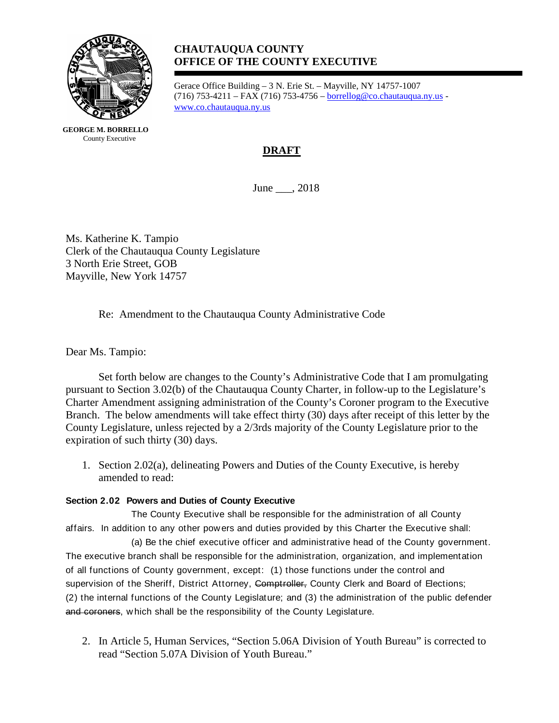

**GEORGE M. BORRELLO** County Executive

# **CHAUTAUQUA COUNTY OFFICE OF THE COUNTY EXECUTIVE**

Gerace Office Building – 3 N. Erie St. – Mayville, NY 14757-1007 (716) 753-4211 – FAX (716) 753-4756 – [borrellog@co.chautauqua.ny.us](mailto:borrellog@co.chautauqua.ny.us) [www.co.chautauqua.ny.us](http://www.co.chautauqua.ny.us/)

# **DRAFT**

June \_\_\_, 2018

Ms. Katherine K. Tampio Clerk of the Chautauqua County Legislature 3 North Erie Street, GOB Mayville, New York 14757

Re: Amendment to the Chautauqua County Administrative Code

Dear Ms. Tampio:

Set forth below are changes to the County's Administrative Code that I am promulgating pursuant to Section 3.02(b) of the Chautauqua County Charter, in follow-up to the Legislature's Charter Amendment assigning administration of the County's Coroner program to the Executive Branch. The below amendments will take effect thirty (30) days after receipt of this letter by the County Legislature, unless rejected by a 2/3rds majority of the County Legislature prior to the expiration of such thirty (30) days.

1. Section 2.02(a), delineating Powers and Duties of the County Executive, is hereby amended to read:

#### **Section 2.02 Powers and Duties of County Executive**

The County Executive shall be responsible for the administration of all County affairs. In addition to any other pow ers and duties provided by this Charter the Executive shall:

(a) Be the chief executive officer and administrative head of the County government. The executive branch shall be responsible for the administration, organization, and implementation of all functions of County government, except: (1) those functions under the control and supervision of the Sheriff, District Attorney, Comptroller, County Clerk and Board of Elections; (2) the internal functions of the County Legislature; and (3) the administration of the public defender and coroners, which shall be the responsibility of the County Legislature.

2. In Article 5, Human Services, "Section 5.06A Division of Youth Bureau" is corrected to read "Section 5.07A Division of Youth Bureau."